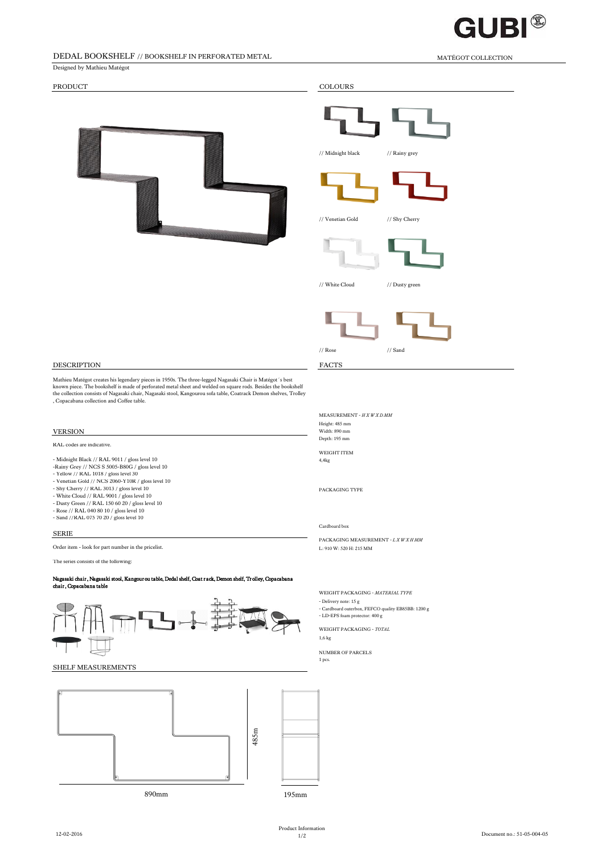

# DEDAL BOOKSHELF // BOOKSHELF IN PERFORATED METAL MATÉGOT COLLECTION

# PRODUCT COLOURS

Designed by Mathieu Matégot

| <b>PATTERNING AND</b> |
|-----------------------|
|                       |

| <b>COLOURS</b>    |                |
|-------------------|----------------|
|                   |                |
| // Midnight black | // Rainy grey  |
|                   |                |
| // Venetian Gold  | // Shy Cherry  |
|                   |                |
| // White Cloud    | // Dusty green |
|                   |                |

## DESCRIPTION FACTS

Mathieu Matégot creates his legendary pieces in 1950s. The three-legged Nagasaki Chair is Matégot 's best<br>known piece. The bookshelf is made of perforated metal sheet and welded on square rods. Besides the bookshelf<br>the co

RAL codes are indicative.

- Midnight Black // RAL 9011 / gloss level 10 4,4kg -Rainy Grey // NCS S 5005-B80G / gloss level 10
- 
- Yellow // RAL 1018 / gloss level 30 Venetian Gold // NCS 2060-Y10R / gloss level 10
- 
- Shy Cherry // RAL 3013 / gloss level 10 PACKAGING TYPE<br>- White Cloud // RAL 9001 / gloss level 10
- 
- Dusty Green // RAL 150 60 20 / gloss level 10 Rose // RAL 040 80 10 / gloss level 10 Sand //RAL 075 70 20 / gloss level 10
- 

# SERIE

Order item - look for part number in the pricelist.<br>L: 910 W: 520 H: 215 MM

The series consists of the following:

Nagasaki chair , Nagasaki stool, Kangour ou table, Dedal shelf, Coat r ack, Demon shelf, Tr olley, Copacabana chair , Copacabana table



## SHELF MEASUREMENTS



#### MEASUREMENT - *H X W X D MM* Height: 485 mm VERSION Width: 890 mm Depth: 195 mm

 $\sqrt{ }$  // Sand  $\sqrt{ }$ 

WEIGHT ITEM<br>4,4kg

### Cardboard box

PACKAGING MEASUREMENT - *L X W X H MM*

WEIGHT PACKAGING - *MATERIAL TYPE*

- Delivery note: 15 g

- Cardboard outerbox, FEFCO quality EB85BB: 1200 g - LD-EPS foam protector: 400 g

WEIGHT PACKAGING - *TOTAL* 1,6 kg

NUMBER OF PARCELS